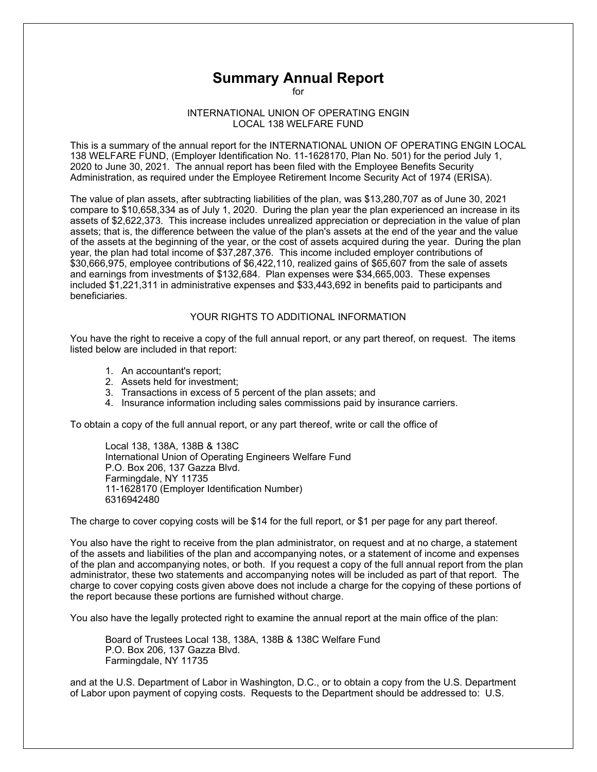## **Summary Annual Report**

for

## INTERNATIONAL UNION OF OPERATING ENGIN LOCAL 138 WELFARE FUND

This is a summary of the annual report for the INTERNATIONAL UNION OF OPERATING ENGIN LOCAL 138 WELFARE FUND, (Employer Identification No. 11-1628170, Plan No. 501) for the period July 1, 2020 to June 30, 2021. The annual report has been filed with the Employee Benefits Security Administration, as required under the Employee Retirement Income Security Act of 1974 (ERISA).

The value of plan assets, after subtracting liabilities of the plan, was \$13,280,707 as of June 30, 2021 compare to \$10,658,334 as of July 1, 2020. During the plan year the plan experienced an increase in its assets of \$2,622,373. This increase includes unrealized appreciation or depreciation in the value of plan assets; that is, the difference between the value of the plan's assets at the end of the year and the value of the assets at the beginning of the year, or the cost of assets acquired during the year. During the plan year, the plan had total income of \$37,287,376. This income included employer contributions of \$30,666,975, employee contributions of \$6,422,110, realized gains of \$65,607 from the sale of assets and earnings from investments of \$132,684. Plan expenses were \$34,665,003. These expenses included \$1,221,311 in administrative expenses and \$33,443,692 in benefits paid to participants and beneficiaries.

## YOUR RIGHTS TO ADDITIONAL INFORMATION

You have the right to receive a copy of the full annual report, or any part thereof, on request. The items listed below are included in that report:

- 1. An accountant's report;
- 2. Assets held for investment;
- 3. Transactions in excess of 5 percent of the plan assets; and
- 4. Insurance information including sales commissions paid by insurance carriers.

To obtain a copy of the full annual report, or any part thereof, write or call the office of

Local 138, 138A, 138B & 138C International Union of Operating Engineers Welfare Fund P.O. Box 206, 137 Gazza Blvd. Farmingdale, NY 11735 11-1628170 (Employer Identification Number) 6316942480

The charge to cover copying costs will be \$14 for the full report, or \$1 per page for any part thereof.

You also have the right to receive from the plan administrator, on request and at no charge, a statement of the assets and liabilities of the plan and accompanying notes, or a statement of income and expenses of the plan and accompanying notes, or both. If you request a copy of the full annual report from the plan administrator, these two statements and accompanying notes will be included as part of that report. The charge to cover copying costs given above does not include a charge for the copying of these portions of the report because these portions are furnished without charge.

You also have the legally protected right to examine the annual report at the main office of the plan:

Board of Trustees Local 138, 138A, 138B & 138C Welfare Fund P.O. Box 206, 137 Gazza Blvd. Farmingdale, NY 11735

and at the U.S. Department of Labor in Washington, D.C., or to obtain a copy from the U.S. Department of Labor upon payment of copying costs. Requests to the Department should be addressed to: U.S.